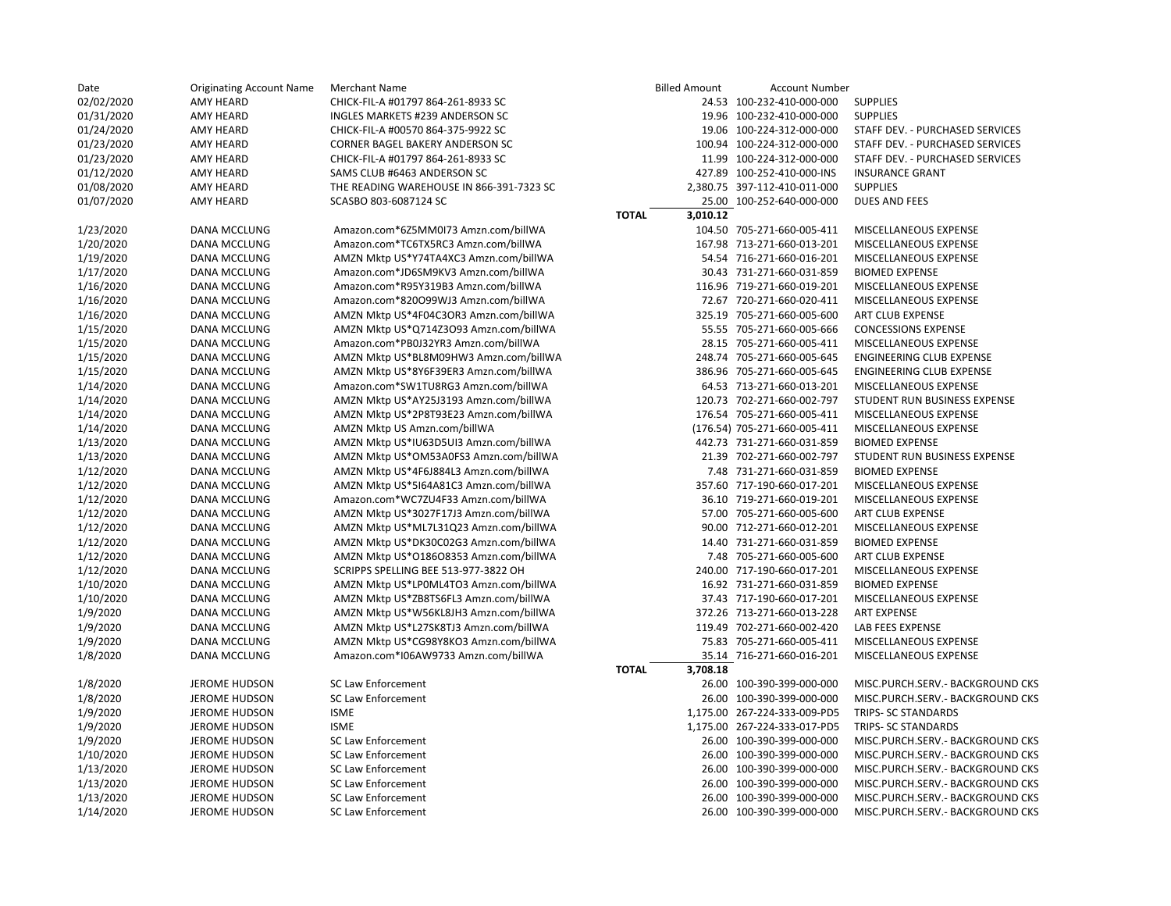| Date                  | <b>Originating Account Name</b> | Merchant Name                                          | <b>Billed Amount</b>     | <b>Account Number</b>        |                                  |
|-----------------------|---------------------------------|--------------------------------------------------------|--------------------------|------------------------------|----------------------------------|
| 02/02/2020            | AMY HEARD                       | CHICK-FIL-A #01797 864-261-8933 SC                     |                          | 24.53 100-232-410-000-000    | <b>SUPPLIES</b>                  |
| 01/31/2020            | AMY HEARD                       | INGLES MARKETS #239 ANDERSON SC                        |                          | 19.96 100-232-410-000-000    | <b>SUPPLIES</b>                  |
| 01/24/2020            | AMY HEARD                       | CHICK-FIL-A #00570 864-375-9922 SC                     |                          | 19.06 100-224-312-000-000    | STAFF DEV. - PURCHASED SERVICES  |
| 01/23/2020            | AMY HEARD                       | <b>CORNER BAGEL BAKERY ANDERSON SC</b>                 |                          | 100.94 100-224-312-000-000   | STAFF DEV. - PURCHASED SERVICES  |
| 01/23/2020            | <b>AMY HEARD</b>                | CHICK-FIL-A #01797 864-261-8933 SC                     |                          | 11.99 100-224-312-000-000    | STAFF DEV. - PURCHASED SERVICES  |
| 01/12/2020            | AMY HEARD                       | SAMS CLUB #6463 ANDERSON SC                            |                          | 427.89 100-252-410-000-INS   | <b>INSURANCE GRANT</b>           |
| 01/08/2020            | AMY HEARD                       | THE READING WAREHOUSE IN 866-391-7323 SC               |                          | 2,380.75 397-112-410-011-000 | <b>SUPPLIES</b>                  |
| 01/07/2020            | AMY HEARD                       | SCASBO 803-6087124 SC                                  |                          | 25.00 100-252-640-000-000    | <b>DUES AND FEES</b>             |
|                       |                                 |                                                        | 3,010.12<br><b>TOTAL</b> |                              |                                  |
| 1/23/2020             | DANA MCCLUNG                    | Amazon.com*6Z5MM0I73 Amzn.com/billWA                   |                          | 104.50 705-271-660-005-411   | MISCELLANEOUS EXPENSE            |
| 1/20/2020             | DANA MCCLUNG                    | Amazon.com*TC6TX5RC3 Amzn.com/billWA                   |                          | 167.98 713-271-660-013-201   | MISCELLANEOUS EXPENSE            |
| 1/19/2020             | DANA MCCLUNG                    | AMZN Mktp US*Y74TA4XC3 Amzn.com/billWA                 |                          | 54.54 716-271-660-016-201    | MISCELLANEOUS EXPENSE            |
| 1/17/2020             | DANA MCCLUNG                    | Amazon.com*JD6SM9KV3 Amzn.com/billWA                   |                          | 30.43 731-271-660-031-859    | <b>BIOMED EXPENSE</b>            |
| 1/16/2020             | DANA MCCLUNG                    | Amazon.com*R95Y319B3 Amzn.com/billWA                   |                          | 116.96 719-271-660-019-201   | MISCELLANEOUS EXPENSE            |
| 1/16/2020             | <b>DANA MCCLUNG</b>             | Amazon.com*820099WJ3 Amzn.com/billWA                   |                          | 72.67 720-271-660-020-411    | MISCELLANEOUS EXPENSE            |
| 1/16/2020             | <b>DANA MCCLUNG</b>             | AMZN Mktp US*4F04C3OR3 Amzn.com/billWA                 |                          | 325.19 705-271-660-005-600   | ART CLUB EXPENSE                 |
| 1/15/2020             | DANA MCCLUNG                    | AMZN Mktp US*Q714Z3O93 Amzn.com/billWA                 |                          | 55.55 705-271-660-005-666    | <b>CONCESSIONS EXPENSE</b>       |
| 1/15/2020             | DANA MCCLUNG                    | Amazon.com*PB0J32YR3 Amzn.com/billWA                   |                          | 28.15 705-271-660-005-411    | MISCELLANEOUS EXPENSE            |
| 1/15/2020             | DANA MCCLUNG                    | AMZN Mktp US*BL8M09HW3 Amzn.com/billWA                 |                          | 248.74 705-271-660-005-645   | <b>ENGINEERING CLUB EXPENSE</b>  |
| 1/15/2020             | DANA MCCLUNG                    | AMZN Mktp US*8Y6F39ER3 Amzn.com/billWA                 |                          | 386.96 705-271-660-005-645   | ENGINEERING CLUB EXPENSE         |
| 1/14/2020             | DANA MCCLUNG                    | Amazon.com*SW1TU8RG3 Amzn.com/billWA                   |                          | 64.53 713-271-660-013-201    | MISCELLANEOUS EXPENSE            |
| 1/14/2020             | DANA MCCLUNG                    | AMZN Mktp US*AY25J3193 Amzn.com/billWA                 |                          | 120.73 702-271-660-002-797   | STUDENT RUN BUSINESS EXPENSE     |
| 1/14/2020             | DANA MCCLUNG                    | AMZN Mktp US*2P8T93E23 Amzn.com/billWA                 |                          | 176.54 705-271-660-005-411   | MISCELLANEOUS EXPENSE            |
| 1/14/2020             | DANA MCCLUNG                    | AMZN Mktp US Amzn.com/billWA                           |                          | (176.54) 705-271-660-005-411 | MISCELLANEOUS EXPENSE            |
| 1/13/2020             | DANA MCCLUNG                    | AMZN Mktp US*IU63D5UI3 Amzn.com/billWA                 |                          | 442.73 731-271-660-031-859   | <b>BIOMED EXPENSE</b>            |
| 1/13/2020             | <b>DANA MCCLUNG</b>             | AMZN Mktp US*OM53A0FS3 Amzn.com/billWA                 |                          | 21.39 702-271-660-002-797    | STUDENT RUN BUSINESS EXPENSE     |
| 1/12/2020             | DANA MCCLUNG                    | AMZN Mktp US*4F6J884L3 Amzn.com/billWA                 |                          | 7.48 731-271-660-031-859     | <b>BIOMED EXPENSE</b>            |
| 1/12/2020             | DANA MCCLUNG                    | AMZN Mktp US*5164A81C3 Amzn.com/billWA                 |                          | 357.60 717-190-660-017-201   | MISCELLANEOUS EXPENSE            |
| 1/12/2020             | DANA MCCLUNG                    | Amazon.com*WC7ZU4F33 Amzn.com/billWA                   |                          | 36.10 719-271-660-019-201    | MISCELLANEOUS EXPENSE            |
| 1/12/2020             | DANA MCCLUNG                    | AMZN Mktp US*3027F17J3 Amzn.com/billWA                 |                          | 57.00 705-271-660-005-600    | ART CLUB EXPENSE                 |
| 1/12/2020             | <b>DANA MCCLUNG</b>             | AMZN Mktp US*ML7L31Q23 Amzn.com/billWA                 |                          | 90.00 712-271-660-012-201    | MISCELLANEOUS EXPENSE            |
| 1/12/2020             | DANA MCCLUNG                    | AMZN Mktp US*DK30C02G3 Amzn.com/billWA                 |                          | 14.40 731-271-660-031-859    | <b>BIOMED EXPENSE</b>            |
| 1/12/2020             | <b>DANA MCCLUNG</b>             | AMZN Mktp US*018608353 Amzn.com/billWA                 |                          | 7.48 705-271-660-005-600     | ART CLUB EXPENSE                 |
| 1/12/2020             | DANA MCCLUNG                    | SCRIPPS SPELLING BEE 513-977-3822 OH                   |                          | 240.00 717-190-660-017-201   | MISCELLANEOUS EXPENSE            |
| 1/10/2020             | DANA MCCLUNG                    | AMZN Mktp US*LP0ML4TO3 Amzn.com/billWA                 |                          | 16.92 731-271-660-031-859    | <b>BIOMED EXPENSE</b>            |
| 1/10/2020             | DANA MCCLUNG                    | AMZN Mktp US*ZB8TS6FL3 Amzn.com/billWA                 |                          | 37.43 717-190-660-017-201    | MISCELLANEOUS EXPENSE            |
| 1/9/2020              | DANA MCCLUNG                    | AMZN Mktp US*W56KL8JH3 Amzn.com/billWA                 |                          | 372.26 713-271-660-013-228   | <b>ART EXPENSE</b>               |
| 1/9/2020              | DANA MCCLUNG                    | AMZN Mktp US*L27SK8TJ3 Amzn.com/billWA                 |                          | 119.49 702-271-660-002-420   | LAB FEES EXPENSE                 |
| 1/9/2020              | DANA MCCLUNG                    | AMZN Mktp US*CG98Y8KO3 Amzn.com/billWA                 |                          | 75.83 705-271-660-005-411    | MISCELLANEOUS EXPENSE            |
| 1/8/2020              | DANA MCCLUNG                    | Amazon.com*I06AW9733 Amzn.com/billWA                   |                          | 35.14 716-271-660-016-201    | MISCELLANEOUS EXPENSE            |
|                       |                                 |                                                        | <b>TOTAL</b><br>3,708.18 |                              |                                  |
| 1/8/2020              | <b>JEROME HUDSON</b>            | <b>SC Law Enforcement</b>                              |                          | 26.00 100-390-399-000-000    | MISC.PURCH.SERV.- BACKGROUND CKS |
| 1/8/2020              | JEROME HUDSON                   | <b>SC Law Enforcement</b>                              |                          | 26.00 100-390-399-000-000    | MISC.PURCH.SERV.- BACKGROUND CKS |
| 1/9/2020              | <b>JEROME HUDSON</b>            | <b>ISME</b>                                            |                          | 1,175.00 267-224-333-009-PD5 | TRIPS- SC STANDARDS              |
| 1/9/2020              |                                 | <b>ISME</b>                                            |                          | 1,175.00 267-224-333-017-PD5 | TRIPS- SC STANDARDS              |
|                       | <b>JEROME HUDSON</b>            |                                                        |                          | 26.00 100-390-399-000-000    |                                  |
| 1/9/2020<br>1/10/2020 | <b>JEROME HUDSON</b>            | <b>SC Law Enforcement</b><br><b>SC Law Enforcement</b> |                          |                              | MISC.PURCH.SERV.- BACKGROUND CKS |
|                       | <b>JEROME HUDSON</b>            |                                                        |                          | 26.00 100-390-399-000-000    | MISC.PURCH.SERV.- BACKGROUND CKS |
| 1/13/2020             | <b>JEROME HUDSON</b>            | SC Law Enforcement                                     |                          | 26.00 100-390-399-000-000    | MISC.PURCH.SERV.- BACKGROUND CKS |
| 1/13/2020             | <b>JEROME HUDSON</b>            | <b>SC Law Enforcement</b>                              |                          | 26.00 100-390-399-000-000    | MISC.PURCH.SERV.- BACKGROUND CKS |
| 1/13/2020             | <b>JEROME HUDSON</b>            | <b>SC Law Enforcement</b>                              |                          | 26.00 100-390-399-000-000    | MISC.PURCH.SERV.- BACKGROUND CKS |
| 1/14/2020             | <b>JEROME HUDSON</b>            | <b>SC Law Enforcement</b>                              |                          | 26.00 100-390-399-000-000    | MISC.PURCH.SERV.- BACKGROUND CKS |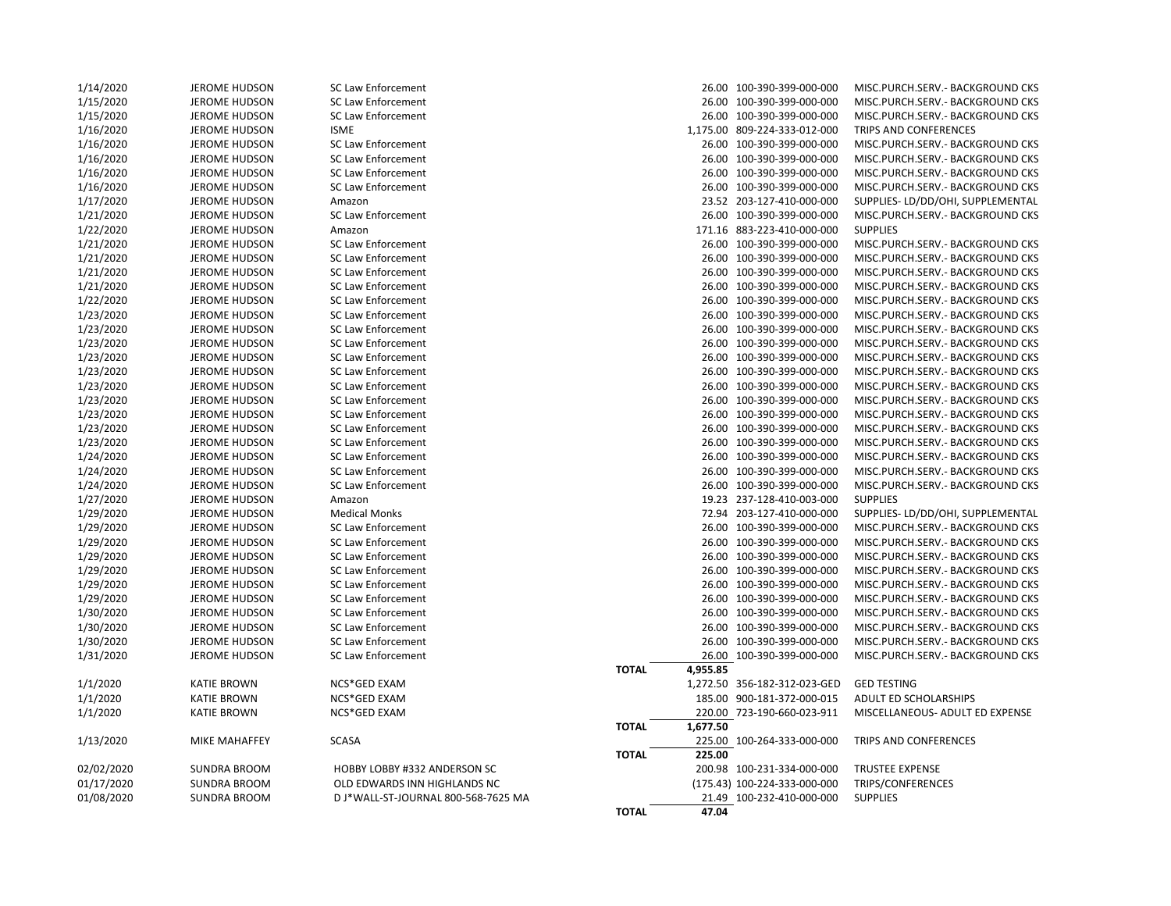| 1/14/2020  | JEROME HUDSON        | SC Law Enforcement                  |                          | 26.00 100-390-399-000-000    | MISC.PURCH.SERV.- BACKGROUND CKS  |
|------------|----------------------|-------------------------------------|--------------------------|------------------------------|-----------------------------------|
| 1/15/2020  | <b>JEROME HUDSON</b> | SC Law Enforcement                  |                          | 26.00 100-390-399-000-000    | MISC.PURCH.SERV.- BACKGROUND CKS  |
| 1/15/2020  | <b>JEROME HUDSON</b> | SC Law Enforcement                  |                          | 26.00 100-390-399-000-000    | MISC.PURCH.SERV. - BACKGROUND CKS |
| 1/16/2020  | <b>JEROME HUDSON</b> | <b>ISME</b>                         |                          | 1,175.00 809-224-333-012-000 | TRIPS AND CONFERENCES             |
| 1/16/2020  | JEROME HUDSON        | SC Law Enforcement                  |                          | 26.00 100-390-399-000-000    | MISC.PURCH.SERV.- BACKGROUND CKS  |
| 1/16/2020  | <b>JEROME HUDSON</b> | SC Law Enforcement                  |                          | 26.00 100-390-399-000-000    | MISC.PURCH.SERV.- BACKGROUND CKS  |
| 1/16/2020  | <b>JEROME HUDSON</b> | SC Law Enforcement                  |                          | 26.00 100-390-399-000-000    | MISC.PURCH.SERV.- BACKGROUND CKS  |
| 1/16/2020  | <b>JEROME HUDSON</b> | <b>SC Law Enforcement</b>           |                          | 26.00 100-390-399-000-000    | MISC.PURCH.SERV.- BACKGROUND CKS  |
| 1/17/2020  | <b>JEROME HUDSON</b> | Amazon                              |                          | 23.52 203-127-410-000-000    | SUPPLIES- LD/DD/OHI, SUPPLEMENTAL |
| 1/21/2020  | <b>JEROME HUDSON</b> | SC Law Enforcement                  |                          | 26.00 100-390-399-000-000    | MISC.PURCH.SERV.- BACKGROUND CKS  |
| 1/22/2020  | <b>JEROME HUDSON</b> | Amazon                              |                          | 171.16 883-223-410-000-000   | <b>SUPPLIES</b>                   |
| 1/21/2020  | <b>JEROME HUDSON</b> | SC Law Enforcement                  |                          | 26.00 100-390-399-000-000    | MISC.PURCH.SERV.- BACKGROUND CKS  |
| 1/21/2020  | <b>JEROME HUDSON</b> | SC Law Enforcement                  |                          | 26.00 100-390-399-000-000    | MISC.PURCH.SERV. - BACKGROUND CKS |
| 1/21/2020  | <b>JEROME HUDSON</b> | SC Law Enforcement                  |                          | 26.00 100-390-399-000-000    | MISC.PURCH.SERV.- BACKGROUND CKS  |
| 1/21/2020  | JEROME HUDSON        | SC Law Enforcement                  |                          | 26.00 100-390-399-000-000    | MISC.PURCH.SERV. - BACKGROUND CKS |
| 1/22/2020  | <b>JEROME HUDSON</b> | SC Law Enforcement                  |                          | 26.00 100-390-399-000-000    | MISC.PURCH.SERV.- BACKGROUND CKS  |
| 1/23/2020  | <b>JEROME HUDSON</b> | SC Law Enforcement                  |                          | 26.00 100-390-399-000-000    | MISC.PURCH.SERV.- BACKGROUND CKS  |
| 1/23/2020  | <b>JEROME HUDSON</b> | SC Law Enforcement                  |                          | 26.00 100-390-399-000-000    | MISC.PURCH.SERV. - BACKGROUND CKS |
| 1/23/2020  | <b>JEROME HUDSON</b> | <b>SC Law Enforcement</b>           |                          | 26.00 100-390-399-000-000    | MISC.PURCH.SERV.- BACKGROUND CKS  |
| 1/23/2020  | <b>JEROME HUDSON</b> | SC Law Enforcement                  |                          | 26.00 100-390-399-000-000    | MISC.PURCH.SERV. - BACKGROUND CKS |
| 1/23/2020  | <b>JEROME HUDSON</b> | <b>SC Law Enforcement</b>           |                          | 26.00 100-390-399-000-000    | MISC.PURCH.SERV.- BACKGROUND CKS  |
| 1/23/2020  | <b>JEROME HUDSON</b> | <b>SC Law Enforcement</b>           |                          | 26.00 100-390-399-000-000    | MISC.PURCH.SERV.- BACKGROUND CKS  |
| 1/23/2020  | <b>JEROME HUDSON</b> | <b>SC Law Enforcement</b>           |                          | 26.00 100-390-399-000-000    | MISC.PURCH.SERV. - BACKGROUND CKS |
| 1/23/2020  | <b>JEROME HUDSON</b> | SC Law Enforcement                  |                          | 26.00 100-390-399-000-000    | MISC.PURCH.SERV.- BACKGROUND CKS  |
| 1/23/2020  | JEROME HUDSON        | SC Law Enforcement                  |                          | 26.00 100-390-399-000-000    | MISC.PURCH.SERV.- BACKGROUND CKS  |
| 1/23/2020  | <b>JEROME HUDSON</b> | SC Law Enforcement                  |                          | 26.00 100-390-399-000-000    | MISC.PURCH.SERV.- BACKGROUND CKS  |
| 1/24/2020  | <b>JEROME HUDSON</b> | <b>SC Law Enforcement</b>           |                          | 26.00 100-390-399-000-000    | MISC.PURCH.SERV.- BACKGROUND CKS  |
| 1/24/2020  | <b>JEROME HUDSON</b> | <b>SC Law Enforcement</b>           |                          | 26.00 100-390-399-000-000    | MISC.PURCH.SERV.- BACKGROUND CKS  |
| 1/24/2020  | JEROME HUDSON        | <b>SC Law Enforcement</b>           |                          | 26.00 100-390-399-000-000    | MISC.PURCH.SERV.- BACKGROUND CKS  |
| 1/27/2020  | <b>JEROME HUDSON</b> | Amazon                              |                          | 19.23 237-128-410-003-000    | <b>SUPPLIES</b>                   |
| 1/29/2020  | <b>JEROME HUDSON</b> | <b>Medical Monks</b>                |                          | 72.94 203-127-410-000-000    | SUPPLIES- LD/DD/OHI, SUPPLEMENTAL |
| 1/29/2020  | <b>JEROME HUDSON</b> | <b>SC Law Enforcement</b>           |                          | 26.00 100-390-399-000-000    | MISC.PURCH.SERV.- BACKGROUND CKS  |
| 1/29/2020  | <b>JEROME HUDSON</b> | SC Law Enforcement                  |                          | 26.00 100-390-399-000-000    | MISC.PURCH.SERV. - BACKGROUND CKS |
| 1/29/2020  | <b>JEROME HUDSON</b> | SC Law Enforcement                  |                          | 26.00 100-390-399-000-000    | MISC.PURCH.SERV.- BACKGROUND CKS  |
| 1/29/2020  | <b>JEROME HUDSON</b> | SC Law Enforcement                  |                          | 26.00 100-390-399-000-000    | MISC.PURCH.SERV. - BACKGROUND CKS |
| 1/29/2020  | <b>JEROME HUDSON</b> | SC Law Enforcement                  |                          | 26.00 100-390-399-000-000    | MISC.PURCH.SERV.- BACKGROUND CKS  |
| 1/29/2020  | <b>JEROME HUDSON</b> | SC Law Enforcement                  |                          | 26.00 100-390-399-000-000    | MISC.PURCH.SERV.- BACKGROUND CKS  |
| 1/30/2020  | JEROME HUDSON        | <b>SC Law Enforcement</b>           |                          | 26.00 100-390-399-000-000    | MISC.PURCH.SERV. - BACKGROUND CKS |
| 1/30/2020  | <b>JEROME HUDSON</b> | <b>SC Law Enforcement</b>           |                          | 26.00 100-390-399-000-000    | MISC.PURCH.SERV.- BACKGROUND CKS  |
| 1/30/2020  | <b>JEROME HUDSON</b> | SC Law Enforcement                  |                          | 26.00 100-390-399-000-000    | MISC.PURCH.SERV.- BACKGROUND CKS  |
| 1/31/2020  | <b>JEROME HUDSON</b> | SC Law Enforcement                  |                          | 26.00 100-390-399-000-000    | MISC.PURCH.SERV.- BACKGROUND CKS  |
|            |                      |                                     | 4,955.85<br><b>TOTAL</b> |                              |                                   |
| 1/1/2020   | <b>KATIE BROWN</b>   | NCS*GED EXAM                        |                          | 1,272.50 356-182-312-023-GED | <b>GED TESTING</b>                |
| 1/1/2020   | <b>KATIE BROWN</b>   | NCS*GED EXAM                        |                          | 185.00 900-181-372-000-015   | ADULT ED SCHOLARSHIPS             |
| 1/1/2020   | <b>KATIE BROWN</b>   | NCS*GED EXAM                        |                          | 220.00 723-190-660-023-911   | MISCELLANEOUS- ADULT ED EXPENSE   |
|            |                      |                                     | 1,677.50<br><b>TOTAL</b> |                              |                                   |
| 1/13/2020  | <b>MIKE MAHAFFEY</b> | <b>SCASA</b>                        |                          | 225.00 100-264-333-000-000   | TRIPS AND CONFERENCES             |
|            |                      |                                     | 225.00<br><b>TOTAL</b>   |                              |                                   |
| 02/02/2020 | <b>SUNDRA BROOM</b>  | HOBBY LOBBY #332 ANDERSON SC        |                          | 200.98 100-231-334-000-000   | <b>TRUSTEE EXPENSE</b>            |
| 01/17/2020 | <b>SUNDRA BROOM</b>  | OLD EDWARDS INN HIGHLANDS NC        |                          | (175.43) 100-224-333-000-000 | TRIPS/CONFERENCES                 |
| 01/08/2020 | <b>SUNDRA BROOM</b>  | D J*WALL-ST-JOURNAL 800-568-7625 MA |                          | 21.49 100-232-410-000-000    | <b>SUPPLIES</b>                   |
|            |                      |                                     |                          |                              |                                   |

|              |          | 26.00 100-390-399-000-000    | MISC.PURCH.SERV.- BACKGROUND CKS  |
|--------------|----------|------------------------------|-----------------------------------|
|              |          | 26.00 100-390-399-000-000    | MISC.PURCH.SERV.- BACKGROUND CKS  |
|              |          | 26.00 100-390-399-000-000    | MISC.PURCH.SERV.- BACKGROUND CKS  |
|              |          | 1,175.00 809-224-333-012-000 | <b>TRIPS AND CONFERENCES</b>      |
|              |          | 26.00 100-390-399-000-000    | MISC.PURCH.SERV.- BACKGROUND CKS  |
|              |          | 26.00 100-390-399-000-000    | MISC.PURCH.SERV.- BACKGROUND CKS  |
|              |          | 26.00 100-390-399-000-000    | MISC.PURCH.SERV.- BACKGROUND CKS  |
|              |          | 26.00 100-390-399-000-000    | MISC.PURCH.SERV.- BACKGROUND CKS  |
|              |          | 23.52 203-127-410-000-000    | SUPPLIES- LD/DD/OHI, SUPPLEMENTAL |
|              |          | 26.00 100-390-399-000-000    | MISC.PURCH.SERV.- BACKGROUND CKS  |
|              |          | 171.16 883-223-410-000-000   | <b>SUPPLIES</b>                   |
|              |          | 26.00 100-390-399-000-000    | MISC.PURCH.SERV.- BACKGROUND CKS  |
|              |          | 26.00 100-390-399-000-000    | MISC.PURCH.SERV.- BACKGROUND CKS  |
|              |          | 26.00 100-390-399-000-000    | MISC.PURCH.SERV.- BACKGROUND CKS  |
|              |          | 26.00 100-390-399-000-000    | MISC.PURCH.SERV.- BACKGROUND CKS  |
|              |          | 26.00 100-390-399-000-000    | MISC.PURCH.SERV.- BACKGROUND CKS  |
|              |          | 26.00 100-390-399-000-000    | MISC.PURCH.SERV.- BACKGROUND CKS  |
|              |          | 26.00 100-390-399-000-000    | MISC.PURCH.SERV.- BACKGROUND CKS  |
|              |          | 26.00 100-390-399-000-000    | MISC.PURCH.SERV.- BACKGROUND CKS  |
|              |          | 26.00 100-390-399-000-000    | MISC.PURCH.SERV.- BACKGROUND CKS  |
|              |          | 26.00 100-390-399-000-000    | MISC.PURCH.SERV.- BACKGROUND CKS  |
|              |          | 26.00 100-390-399-000-000    | MISC.PURCH.SERV.- BACKGROUND CKS  |
|              |          | 26.00 100-390-399-000-000    | MISC.PURCH.SERV.- BACKGROUND CKS  |
|              |          | 26.00 100-390-399-000-000    | MISC.PURCH.SERV.- BACKGROUND CKS  |
|              |          | 26.00 100-390-399-000-000    | MISC.PURCH.SERV.- BACKGROUND CKS  |
|              |          | 26.00 100-390-399-000-000    | MISC.PURCH.SERV.- BACKGROUND CKS  |
|              |          | 26.00 100-390-399-000-000    | MISC.PURCH.SERV.- BACKGROUND CKS  |
|              |          | 26.00 100-390-399-000-000    | MISC.PURCH.SERV.- BACKGROUND CKS  |
|              |          | 26.00 100-390-399-000-000    | MISC.PURCH.SERV.- BACKGROUND CKS  |
|              |          | 19.23 237-128-410-003-000    | <b>SUPPLIES</b>                   |
|              |          | 72.94 203-127-410-000-000    | SUPPLIES- LD/DD/OHI, SUPPLEMENTAL |
|              |          | 26.00 100-390-399-000-000    | MISC.PURCH.SERV.- BACKGROUND CKS  |
|              |          | 26.00 100-390-399-000-000    | MISC.PURCH.SERV.- BACKGROUND CKS  |
|              |          | 26.00 100-390-399-000-000    | MISC.PURCH.SERV.- BACKGROUND CKS  |
|              |          | 26.00 100-390-399-000-000    | MISC.PURCH.SERV.- BACKGROUND CKS  |
|              |          | 26.00 100-390-399-000-000    | MISC.PURCH.SERV.- BACKGROUND CKS  |
|              |          | 26.00 100-390-399-000-000    | MISC.PURCH.SERV.- BACKGROUND CKS  |
|              |          | 26.00 100-390-399-000-000    | MISC.PURCH.SERV.- BACKGROUND CKS  |
|              |          | 26.00 100-390-399-000-000    | MISC.PURCH.SERV.- BACKGROUND CKS  |
|              |          | 26.00 100-390-399-000-000    | MISC.PURCH.SERV.- BACKGROUND CKS  |
|              |          | 26.00 100-390-399-000-000    | MISC.PURCH.SERV.- BACKGROUND CKS  |
| <b>TOTAL</b> | 4,955.85 |                              |                                   |
|              |          | 1,272.50 356-182-312-023-GED | <b>GED TESTING</b>                |
|              |          | 185.00 900-181-372-000-015   | <b>ADULT ED SCHOLARSHIPS</b>      |
|              |          | 220.00 723-190-660-023-911   | MISCELLANEOUS- ADULT ED EXPENSE   |
| <b>TOTAL</b> | 1,677.50 |                              |                                   |
|              |          | 225.00 100-264-333-000-000   | TRIPS AND CONFERENCES             |
| <b>TOTAL</b> | 225.00   |                              |                                   |
|              |          | 200.98 100-231-334-000-000   | <b>TRUSTEE EXPENSE</b>            |
|              |          | (175.43) 100-224-333-000-000 | TRIPS/CONFERENCES                 |
|              |          | 21.49 100-232-410-000-000    | <b>SUPPLIES</b>                   |
| TOTAL        | 47.04    |                              |                                   |
|              |          |                              |                                   |